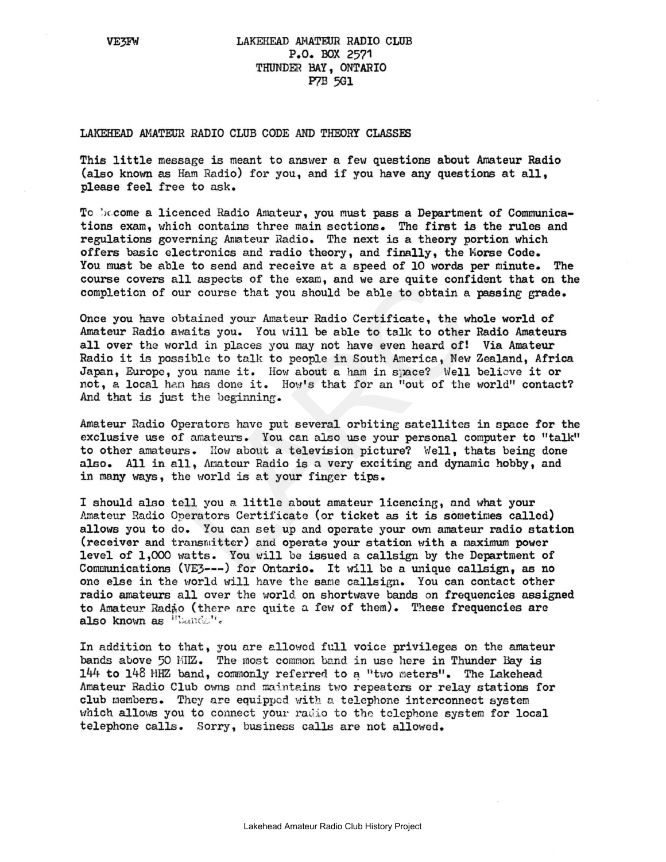## LAKEHEAD AHATEUR RADIO CLUB P.O. BOX 2571 THUNDER BAY, ONTARIO **P7B 5G1**

## LAKEHEAD AMATEUR RADIO CLUB CODE AND THEORY CLASSEE

This little message is meant to answer <sup>a</sup> few questions about Amateur Radio (also known as Ham Radio) for you, and if you have any questions at all, please feel free to ask.

To become a licenced Radio Amateur, you must pass a Department of Communications exam, which contains three main sections. The first is the rules and regulations governing Amateur Radio. The next is a theory portion which offers basic electronics and radio theory, and finally, the Morse Code. You must be able to send and receive at a speed of 10 words per minute. The course covers all aspects of the exam, and we are quite confident that on the completicn of our course that you should be able to obtain a passing grade.

11 aspects of the exam, and we are quite confi<br>ur course that you should be able to obtain a<br>btained your Amateur Radio Certificate, the wh<br>raits you. You will be able to talk to other<br>rld in places you may not have even h Once you have obtained your Amateur Radio Certificate, the whole world of Amateur Radio awaits you. You will be able to talk to other Radio Amateurs all over the world in places you may not have even heard of! Via Amateur Radio it is possible to talk to people in South America, New Zealand, Africa Japan, Europe, you name it. How about a ham in space? Well believe it or not, a local ham has done it. How's that for an "out of the world" contact? And that is just the beginning.

Amateur Radio Operators have put several orbiting satellites in space for the exclusive use of amateurs. You can also use your personal computer to "talk" to other amateurs. How about a television picture? Well, thats being done also. All in all, Anateur Radio is <sup>a</sup> very exciting and dynamic hobby, and in many ways, the world is at your finger tips.

<sup>I</sup> should also tell you <sup>a</sup> little about amateur licencing, and what your Amateur Radio Operators Certificate (or ticket as it is sometimes called) allows you to do. You can set up and operate your own amateur radio station (receiver and transmitter) and operate your station with a maximum power level of 1,000 watts. You will be issued a ca11sign by the Department of Communications (VE3---) for Ontario. It will be a unique callsign, as no one else in the world will have the same callsign. You can contact other radio amateurs all over the world on shortwave bands on frequencies assigned to Amateur Rad<sub>io</sub> (there are quite a few of them). These frequencies are also known as "bands".

In addition to that, you are allowed full voice privileges on the amateur bands above 50 MIZ. The most common band in use here in Thunder Bay is  $144$  to  $148$  HHZ band, commonly referred to a "two meters". The Lakehead Amateur Radio Club owns and maintains two repeaters or relay stations for club members. They are equipped with a telephone interconnect system which allows you to connect your radio to the telephone system for local telephone calls. Sorry, business calls are not allowed.